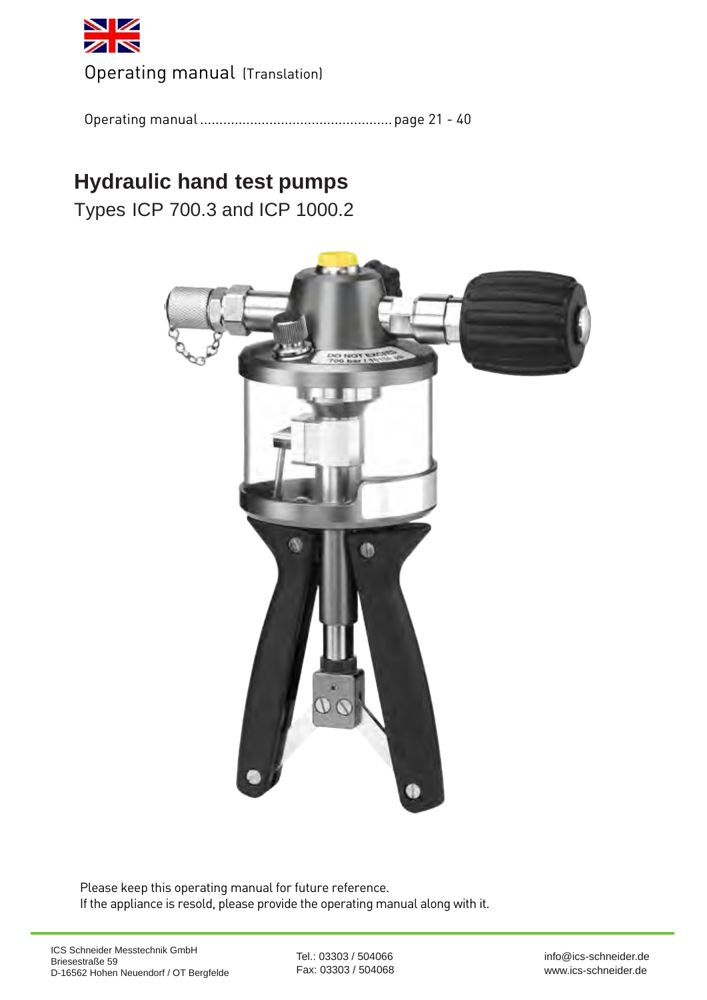<span id="page-0-0"></span>

[Operating manual \(Translation\)](#page-1-0) 

[Operating manual .................................................. page 21 - 40](#page-1-0)

# **[Hydraulic hand test pumps](#page-1-0)**

Types ICP 700.3 and ICP 1000.2



Please keep this operating manual for future reference. If the appliance is resold, please provide the operating manual along with it.

Tel.: 03303 / 504066 Fax: 03303 / 504068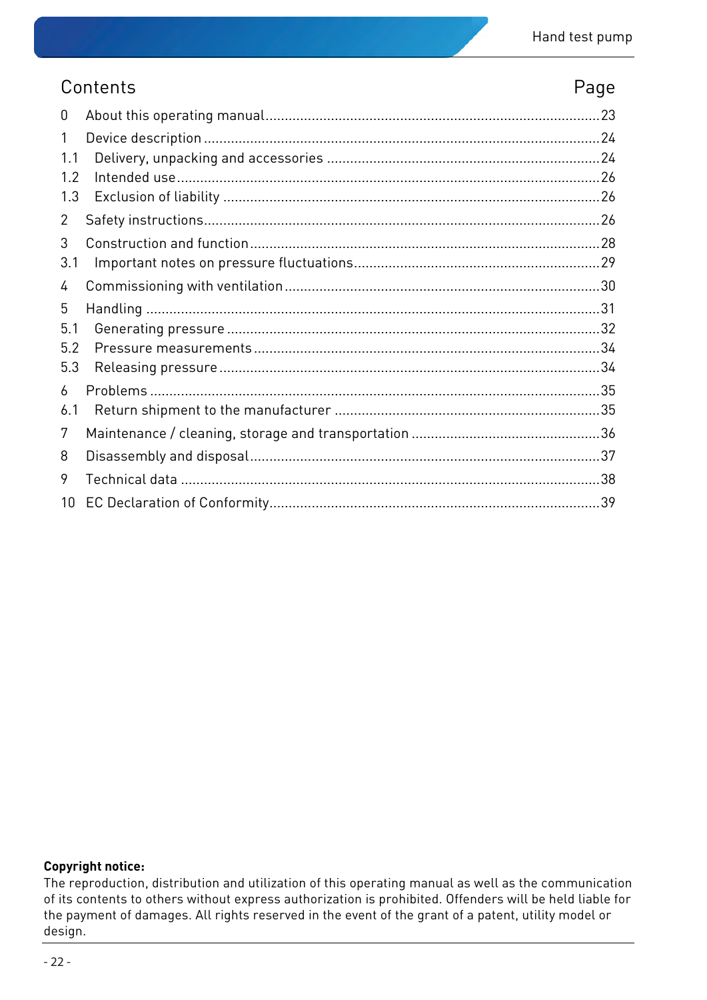### <span id="page-1-0"></span>Contents **Page**

| 0               |  |
|-----------------|--|
| 1               |  |
| 1.1             |  |
| 1.2             |  |
| 1.3             |  |
| $\overline{2}$  |  |
| 3               |  |
| 3.1             |  |
| 4               |  |
| 5               |  |
| 5.1             |  |
| 5.2             |  |
| 5.3             |  |
| 6               |  |
| 6.1             |  |
| 7               |  |
| 8               |  |
| 9               |  |
| 10 <sup>°</sup> |  |

#### **Copyright notice:**

The reproduction, distribution and utilization of this operating manual as well as the communication of its contents to others without express authorization is prohibited. Offenders will be held liable for the payment of damages. All rights reserved in the event of the grant of a patent, utility model or design.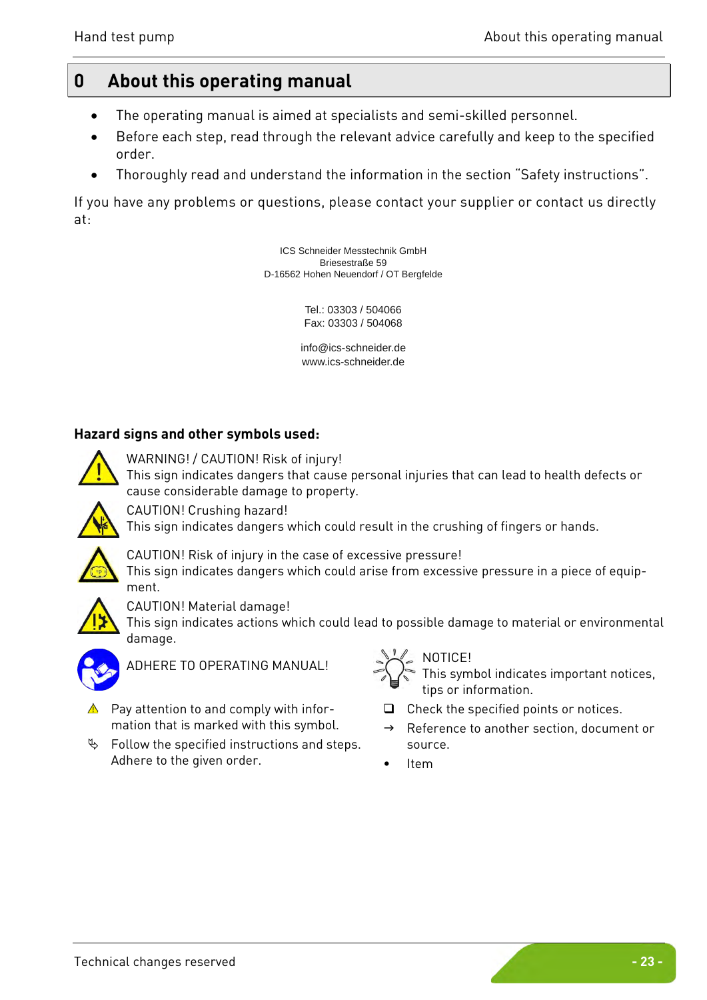### <span id="page-2-0"></span>**0 About this operating manual**

- The operating manual is aimed at specialists and semi-skilled personnel.
- Before each step, read through the relevant advice carefully and keep to the specified order.
- Thoroughly read and understand the information in the section ["Safety instructions"](#page-5-2).

If you have any problems or questions, please contact your supplier or contact us directly at:

> ICS Schneider Messtechnik GmbH Briesestraße 59 [D-16562 Hohen Neuendorf / OT Bergfelde](www.sika.net)

> > Tel.: 03303 / 504066 Fax: 03303 / 504068

[info@ics-schn](mailto:info@sika.net)[eider.de](www.sika.net) www.ics-schneider.de

#### **Hazard signs and other symbols used:**



WARNING! / CAUTION! Risk of injury!

This sign indicates dangers that cause personal injuries that can lead to health defects or cause considerable damage to property.



CAUTION! Crushing hazard!

This sign indicates dangers which could result in the crushing of fingers or hands.



CAUTION! Risk of injury in the case of excessive pressure!

This sign indicates dangers which could arise from excessive pressure in a piece of equipment.



CAUTION! Material damage!

This sign indicates actions which could lead to possible damage to material or environmental damage.



ADHERE TO OPERATING MANUAL!  $\sum_{n=1}^{\infty} \sum_{k=1}^{\infty}$ 

- $\triangle$  Pay attention to and comply with information that is marked with this symbol.
- $\%$  Follow the specified instructions and steps. Adhere to the given order.



This symbol indicates important notices, tips or information.

- $\Box$  Check the specified points or notices.
- $\rightarrow$  Reference to another section, document or source.
- Item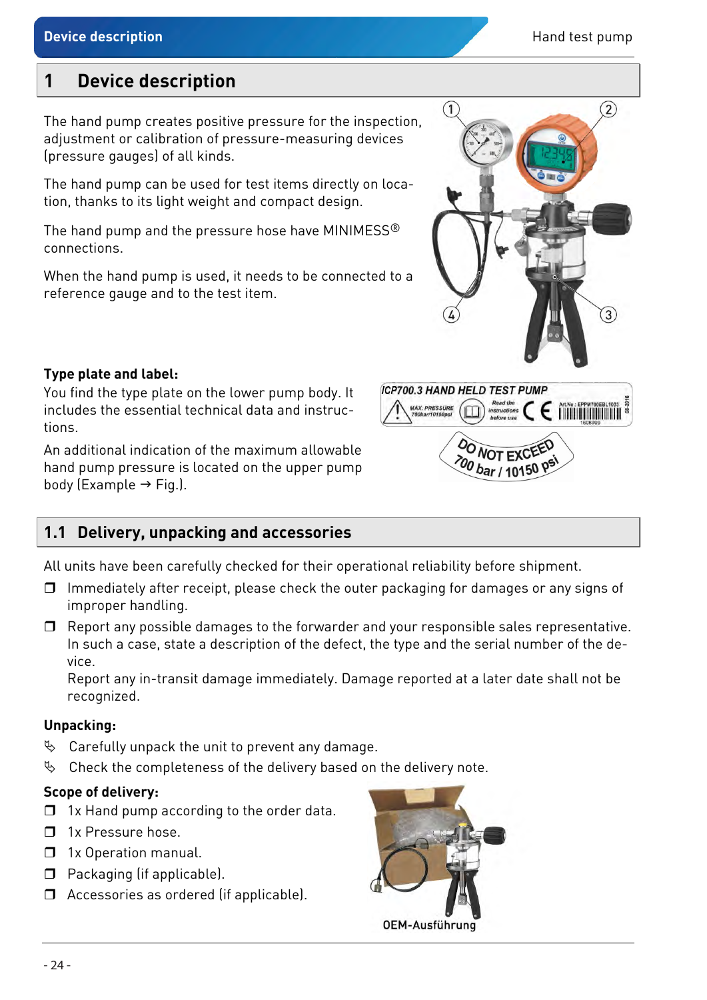### <span id="page-3-0"></span>**1 Device description**

The hand pump creates positive pressure for the inspection, adjustment or calibration of pressure-measuring devices (pressure gauges) of all kinds.

The hand pump can be used for test items directly on location, thanks to its light weight and compact design.

The hand pump and the pressure hose have MINIMESS® connections.

When the hand pump is used, it needs to be connected to a reference gauge and to the test item.

### **Type plate and label:**

You find the type plate on the lower pump body. It includes the essential technical data and instructions.

An additional indication of the maximum allowable hand pump pressure is located on the upper pump body (Example  $\rightarrow$  Fig.).

### <span id="page-3-1"></span>**1.1 Delivery, unpacking and accessories**

All units have been carefully checked for their operational reliability before shipment.

- $\Box$  Immediately after receipt, please check the outer packaging for damages or any signs of improper handling.
- $\Box$  Report any possible damages to the forwarder and your responsible sales representative. In such a case, state a description of the defect, the type and the serial number of the device.

Report any in-transit damage immediately. Damage reported at a later date shall not be recognized.

#### **Unpacking:**

- $\%$  Carefully unpack the unit to prevent any damage.
- $\%$  Check the completeness of the delivery based on the delivery note.

#### **Scope of delivery:**

- $\Box$  1x Hand pump according to the order data.
- $\Box$  1x Pressure hose.
- **1x Operation manual.**
- $\Box$  Packaging (if applicable).
- □ Accessories as ordered (if applicable).





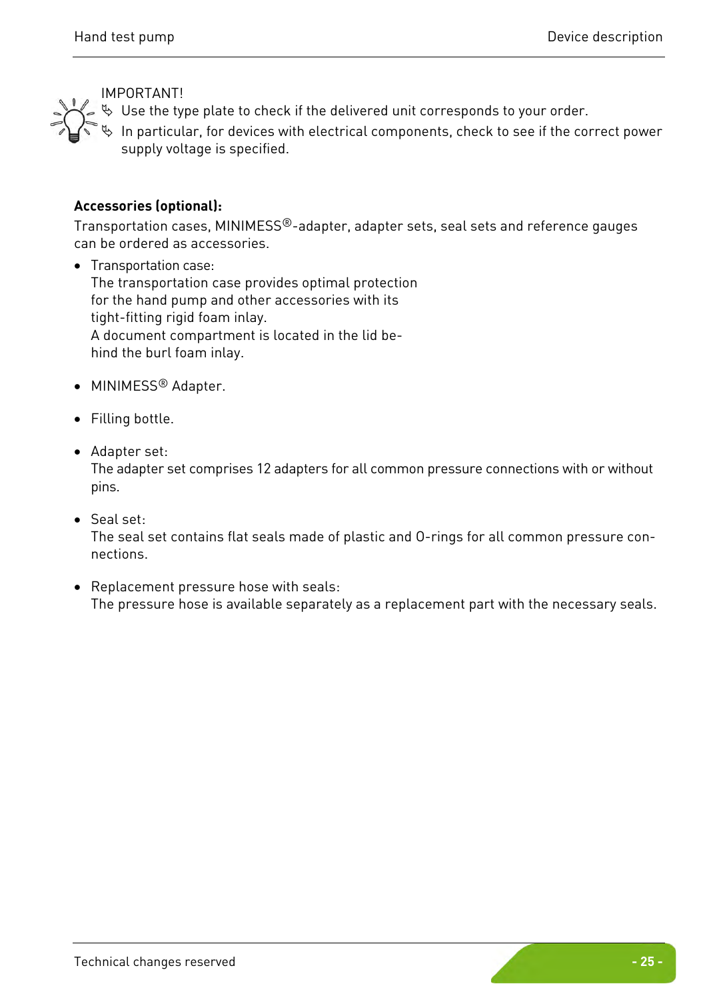

 $\%$  Use the type plate to check if the delivered unit corresponds to your order.

 $\%$  In particular, for devices with electrical components, check to see if the correct power supply voltage is specified.

#### **Accessories (optional):**

Transportation cases, MINIMESS®-adapter, adapter sets, seal sets and reference gauges can be ordered as accessories.

• Transportation case: The transportation case provides optimal protection for the hand pump and other accessories with its tight-fitting rigid foam inlay. A document compartment is located in the lid behind the burl foam inlay.

- MINIMESS® Adapter.
- Filling bottle.
- Adapter set:

The adapter set comprises 12 adapters for all common pressure connections with or without pins.

• Seal set:

The seal set contains flat seals made of plastic and O-rings for all common pressure connections.

• Replacement pressure hose with seals: The pressure hose is available separately as a replacement part with the necessary seals.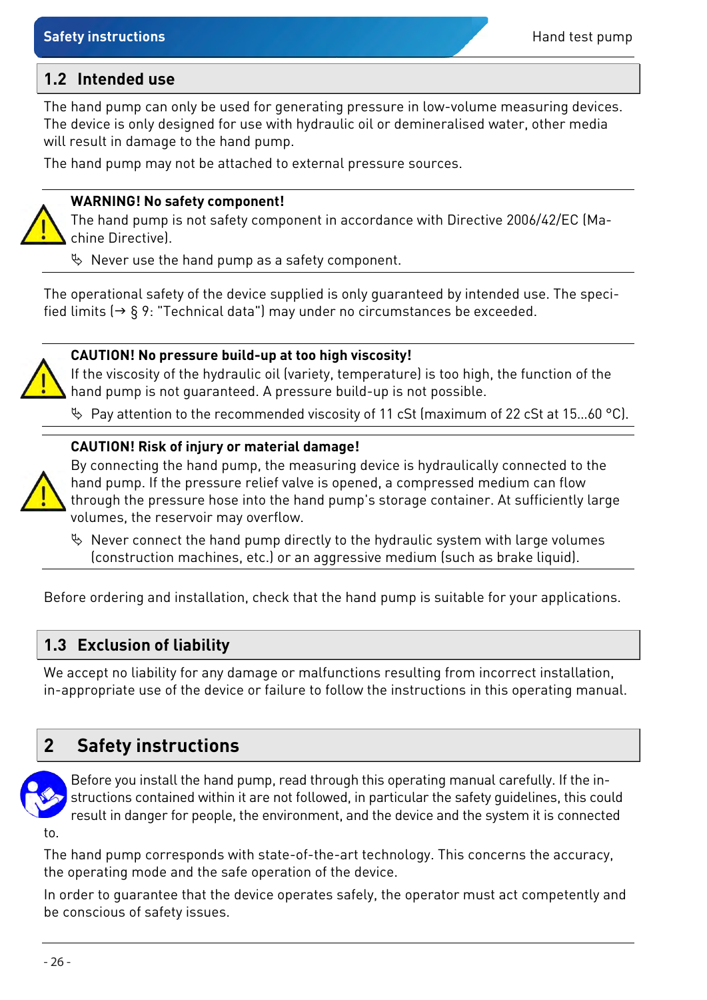#### <span id="page-5-0"></span>**1.2 Intended use**

The hand pump can only be used for generating pressure in low-volume measuring devices. The device is only designed for use with hydraulic oil or demineralised water, other media will result in damage to the hand pump.

The hand pump may not be attached to external pressure sources.

#### **WARNING! No safety component!**

The hand pump is not safety component in accordance with Directive 2006/42/EC (Machine Directive).

 $\%$  Never use the hand pump as a safety component.

The operational safety of the device supplied is only guaranteed by intended use. The specified limits  $(\rightarrow \S 9)$ : ["Technical data"](#page-17-0)) may under no circumstances be exceeded.



#### **CAUTION! No pressure build-up at too high viscosity!**

If the viscosity of the hydraulic oil (variety, temperature) is too high, the function of the hand pump is not guaranteed. A pressure build-up is not possible.

Pay attention to the recommended viscosity of 11 cSt (maximum of 22 cSt at 15…60 °C).

#### **CAUTION! Risk of injury or material damage!**



By connecting the hand pump, the measuring device is hydraulically connected to the hand pump. If the pressure relief valve is opened, a compressed medium can flow through the pressure hose into the hand pump's storage container. At sufficiently large volumes, the reservoir may overflow.

 $\%$  Never connect the hand pump directly to the hydraulic system with large volumes (construction machines, etc.) or an aggressive medium (such as brake liquid).

Before ordering and installation, check that the hand pump is suitable for your applications.

#### <span id="page-5-1"></span>**1.3 Exclusion of liability**

We accept no liability for any damage or malfunctions resulting from incorrect installation, in-appropriate use of the device or failure to follow the instructions in this operating manual.

### <span id="page-5-2"></span>**2 Safety instructions**



Before you install the hand pump, read through this operating manual carefully. If the instructions contained within it are not followed, in particular the safety guidelines, this could result in danger for people, the environment, and the device and the system it is connected

to.

The hand pump corresponds with state-of-the-art technology. This concerns the accuracy, the operating mode and the safe operation of the device.

In order to guarantee that the device operates safely, the operator must act competently and be conscious of safety issues.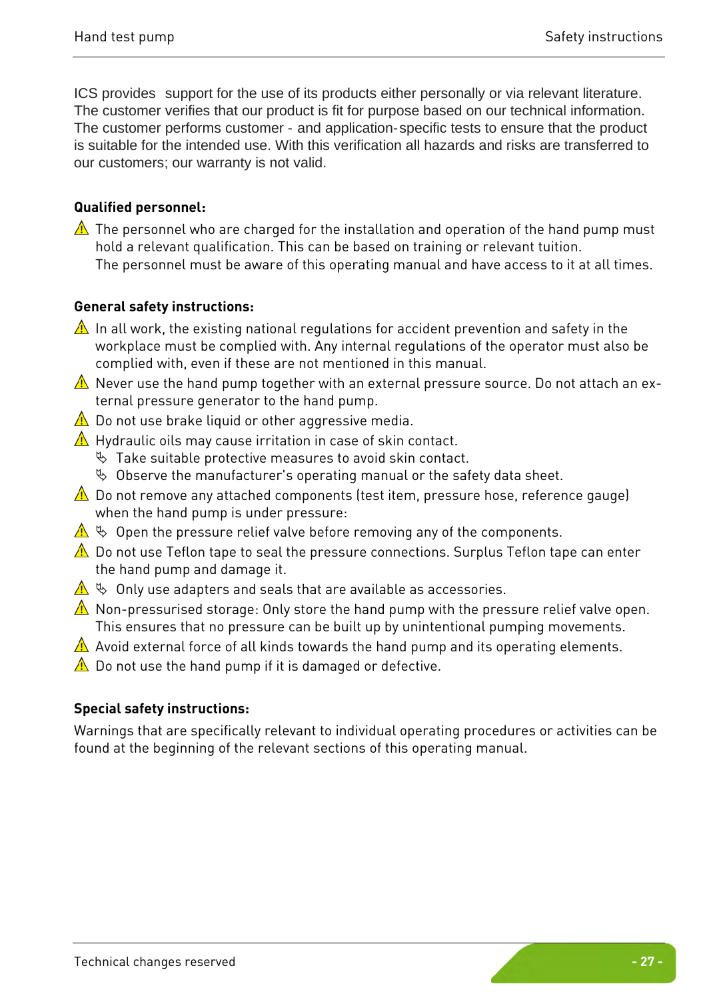ICS provides support for the use of its products either personally or via relevant literature. The customer verifies that our product is fit for purpose based on our technical information. The customer performs customer - and application-specific tests to ensure that the product is suitable for the intended use. With this verification all hazards and risks are transferred to our customers; our warranty is not valid.

#### **Qualified personnel:**

 $\triangle$  The personnel who are charged for the installation and operation of the hand pump must hold a relevant qualification. This can be based on training or relevant tuition. The personnel must be aware of this operating manual and have access to it at all times.

#### **General safety instructions:**

- $\triangle$  In all work, the existing national regulations for accident prevention and safety in the workplace must be complied with. Any internal regulations of the operator must also be complied with, even if these are not mentioned in this manual.
- $\triangle$  Never use the hand pump together with an external pressure source. Do not attach an external pressure generator to the hand pump.
- $\triangle$  Do not use brake liquid or other aggressive media.
- $\triangle$  Hydraulic oils may cause irritation in case of skin contact.
	- $\%$  Take suitable protective measures to avoid skin contact.
	- $\%$  Observe the manufacturer's operating manual or the safety data sheet.
- $\triangle$  Do not remove any attached components (test item, pressure hose, reference gauge) when the hand pump is under pressure:
- $\Delta \Leftrightarrow$  Open the pressure relief valve before removing any of the components.
- $\triangle$  Do not use Teflon tape to seal the pressure connections. Surplus Teflon tape can enter the hand pump and damage it.
- $\triangle \Leftrightarrow$  Only use adapters and seals that are available as accessories.
- $\triangle$  Non-pressurised storage: Only store the hand pump with the pressure relief valve open. This ensures that no pressure can be built up by unintentional pumping movements.
- $\triangle$  Avoid external force of all kinds towards the hand pump and its operating elements.
- $\triangle$  Do not use the hand pump if it is damaged or defective.

#### **Special safety instructions:**

Warnings that are specifically relevant to individual operating procedures or activities can be found at the beginning of the relevant sections of this operating manual.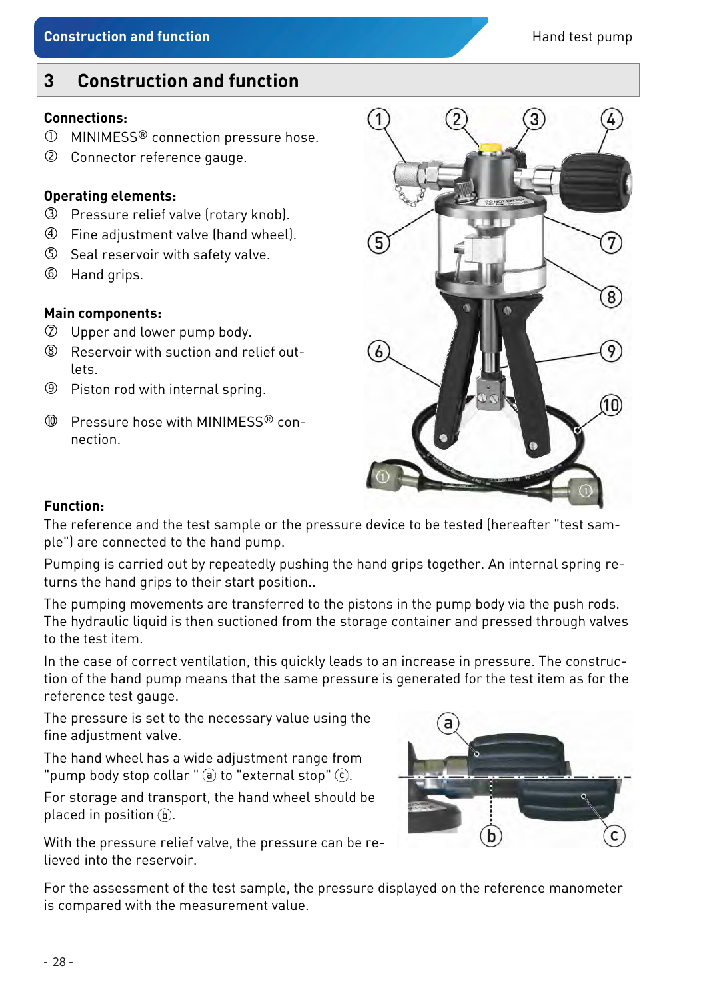### <span id="page-7-0"></span>**3 Construction and function**

#### **Connections:**

- MINIMESS® connection pressure hose.
- Connector reference gauge.

#### **Operating elements:**

- Pressure relief valve (rotary knob).
- Fine adjustment valve (hand wheel).
- Seal reservoir with safety valve.
- Hand grips.

#### **Main components:**

- Upper and lower pump body.
- Reservoir with suction and relief outlets.
- **9** Piston rod with internal spring.
- Pressure hose with MINIMESS® connection.



#### **Function:**

The reference and the test sample or the pressure device to be tested (hereafter "test sample") are connected to the hand pump.

Pumping is carried out by repeatedly pushing the hand grips together. An internal spring returns the hand grips to their start position..

The pumping movements are transferred to the pistons in the pump body via the push rods. The hydraulic liquid is then suctioned from the storage container and pressed through valves to the test item.

In the case of correct ventilation, this quickly leads to an increase in pressure. The construction of the hand pump means that the same pressure is generated for the test item as for the reference test gauge.

The pressure is set to the necessary value using the fine adjustment valve.

The hand wheel has a wide adjustment range from "pump body stop collar " $\Theta$  to "external stop"  $\Theta$ .

For storage and transport, the hand wheel should be placed in position  $\mathfrak b$ .

With the pressure relief valve, the pressure can be relieved into the reservoir.



For the assessment of the test sample, the pressure displayed on the reference manometer is compared with the measurement value.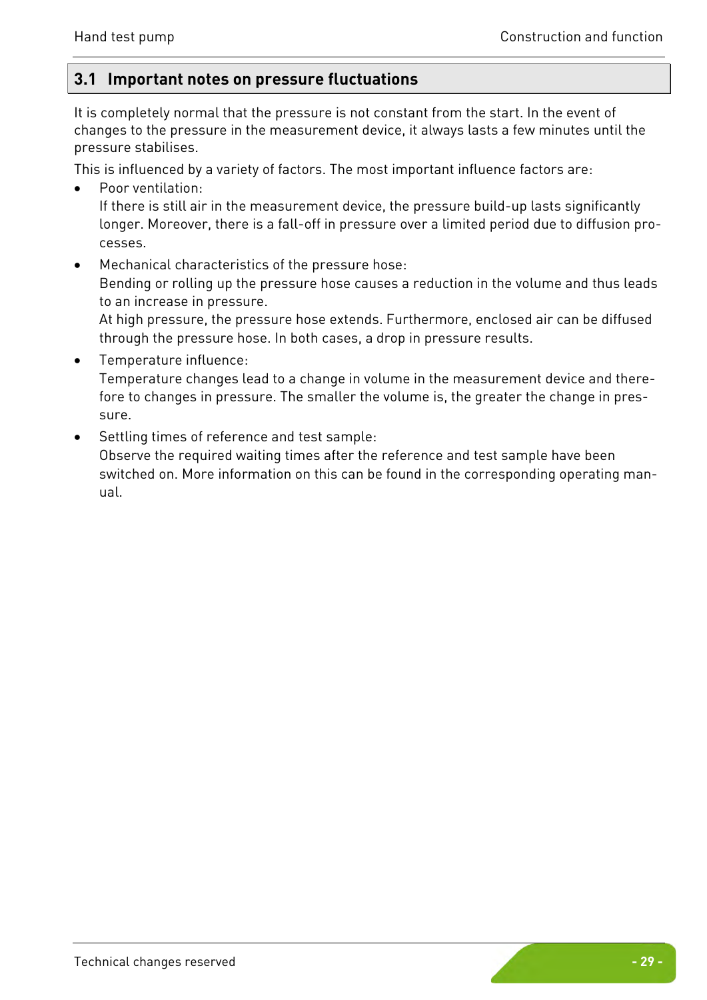#### <span id="page-8-0"></span>**3.1 Important notes on pressure fluctuations**

It is completely normal that the pressure is not constant from the start. In the event of changes to the pressure in the measurement device, it always lasts a few minutes until the pressure stabilises.

This is influenced by a variety of factors. The most important influence factors are:

- Poor ventilation: If there is still air in the measurement device, the pressure build-up lasts significantly longer. Moreover, there is a fall-off in pressure over a limited period due to diffusion processes.
- Mechanical characteristics of the pressure hose: Bending or rolling up the pressure hose causes a reduction in the volume and thus leads to an increase in pressure.

At high pressure, the pressure hose extends. Furthermore, enclosed air can be diffused through the pressure hose. In both cases, a drop in pressure results.

- Temperature influence: Temperature changes lead to a change in volume in the measurement device and therefore to changes in pressure. The smaller the volume is, the greater the change in pressure.
- Settling times of reference and test sample:

Observe the required waiting times after the reference and test sample have been switched on. More information on this can be found in the corresponding operating manual.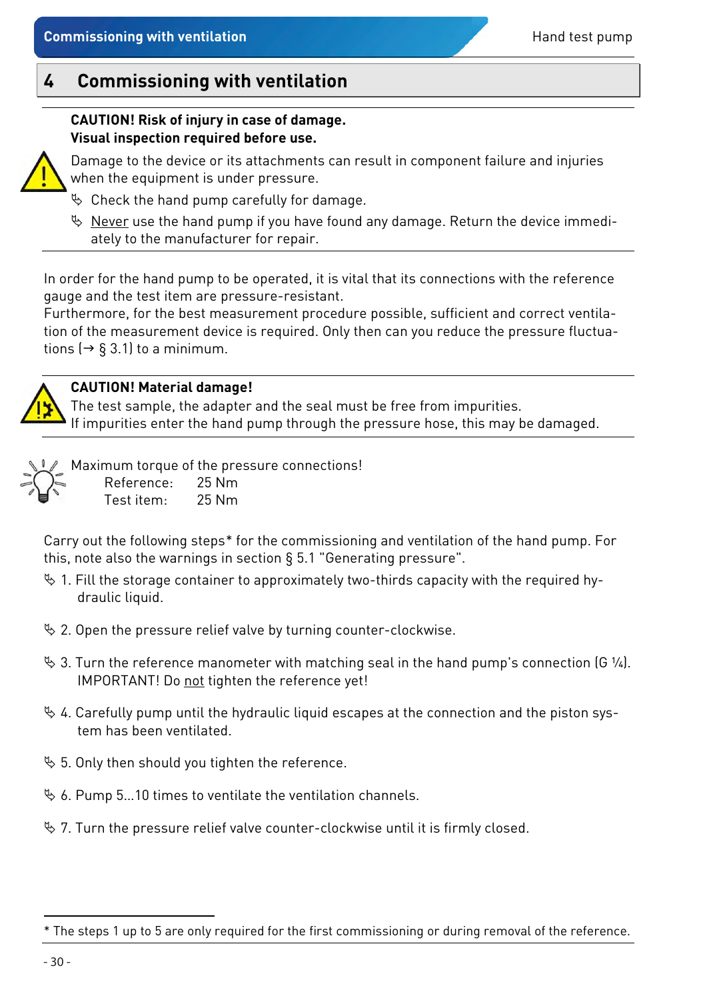#### <span id="page-9-0"></span>**CAUTION! Risk of injury in case of damage. Visual inspection required before use.**

Damage to the device or its attachments can result in component failure and injuries when the equipment is under pressure.

- $\%$  Check the hand pump carefully for damage.
- $\%$  Never use the hand pump if you have found any damage. Return the device immediately to the manufacturer for repair.

In order for the hand pump to be operated, it is vital that its connections with the reference gauge and the test item are pressure-resistant.

Furthermore, for the best measurement procedure possible, sufficient and correct ventilation of the measurement device is required. Only then can you reduce the pressure fluctuations ( $\rightarrow$  § [3.1\)](#page-8-0) to a minimum.



#### **CAUTION! Material damage!**

The test sample, the adapter and the seal must be free from impurities. If impurities enter the hand pump through the pressure hose, this may be damaged.

Maximum torque of the pressure connections! Reference: 25 Nm Test item: 25 Nm

Carry out the following steps[\\*](#page-9-1) for the commissioning and ventilation of the hand pump. For this, note also the warnings in section § [5.1 "Generating pressure"](#page-11-0).

- $\%$  1. Fill the storage container to approximately two-thirds capacity with the required hydraulic liquid.
- $\&$  2. Open the pressure relief valve by turning counter-clockwise.
- $\%$  3. Turn the reference manometer with matching seal in the hand pump's connection (G ¼). IMPORTANT! Do not tighten the reference yet!
- $\%$  4. Carefully pump until the hydraulic liquid escapes at the connection and the piston system has been ventilated.
- $\frac{1}{2}$  5. Only then should you tighten the reference.
- $\%$  6. Pump 5...10 times to ventilate the ventilation channels.
- $\%$  7. Turn the pressure relief valve counter-clockwise until it is firmly closed.

 $\overline{a}$ 

<span id="page-9-1"></span><sup>\*</sup> The steps 1 up to 5 are only required for the first commissioning or during removal of the reference.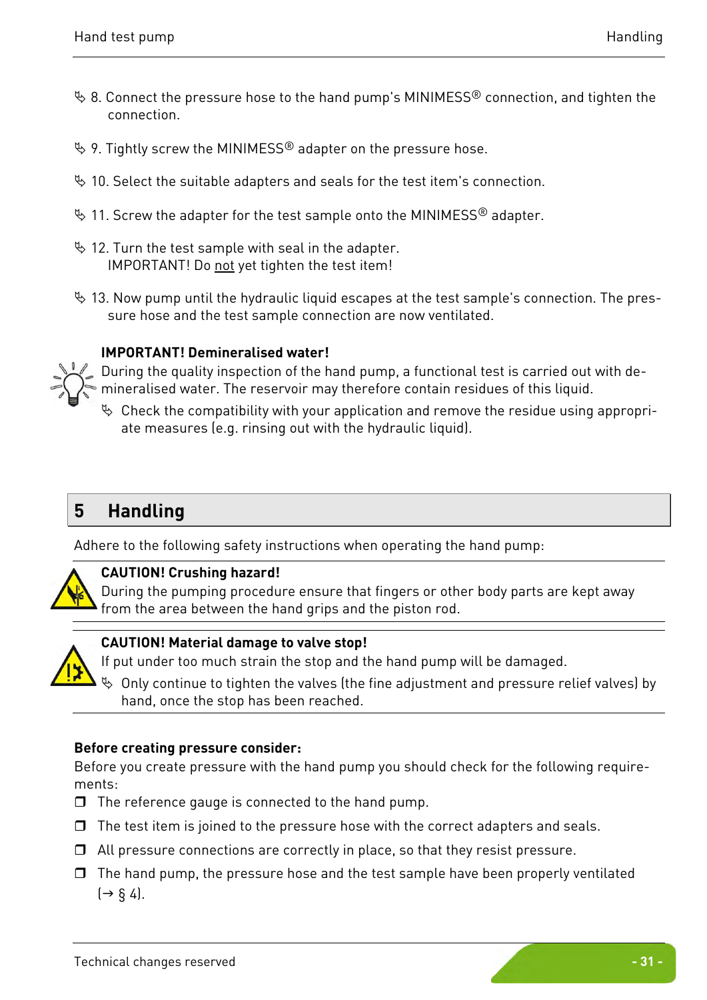- $\%$  8. Connect the pressure hose to the hand pump's MINIMESS<sup>®</sup> connection, and tighten the connection.
- $\%$  9. Tightly screw the MINIMESS<sup>®</sup> adapter on the pressure hose.
- $\%$  10. Select the suitable adapters and seals for the test item's connection.
- $\%$  11. Screw the adapter for the test sample onto the MINIMESS® adapter.
- $\%$  12. Turn the test sample with seal in the adapter. IMPORTANT! Do not yet tighten the test item!
- $\%$  13. Now pump until the hydraulic liquid escapes at the test sample's connection. The pressure hose and the test sample connection are now ventilated.

#### **IMPORTANT! Demineralised water!**

During the quality inspection of the hand pump, a functional test is carried out with demineralised water. The reservoir may therefore contain residues of this liquid.

 Check the compatibility with your application and remove the residue using appropriate measures (e.g. rinsing out with the hydraulic liquid).

### <span id="page-10-0"></span>**5 Handling**

Adhere to the following safety instructions when operating the hand pump:



#### **CAUTION! Crushing hazard!**

During the pumping procedure ensure that fingers or other body parts are kept away from the area between the hand grips and the piston rod.



#### **CAUTION! Material damage to valve stop!**

If put under too much strain the stop and the hand pump will be damaged.

 $\%$  Only continue to tighten the valves (the fine adjustment and pressure relief valves) by hand, once the stop has been reached.

#### **Before creating pressure consider:**

Before you create pressure with the hand pump you should check for the following requirements:

- $\Box$  The reference gauge is connected to the hand pump.
- $\Box$  The test item is joined to the pressure hose with the correct adapters and seals.
- $\Box$  All pressure connections are correctly in place, so that they resist pressure.
- $\Box$  The hand pump, the pressure hose and the test sample have been properly ventilated  $\left( \rightarrow \S 4 \right)$ .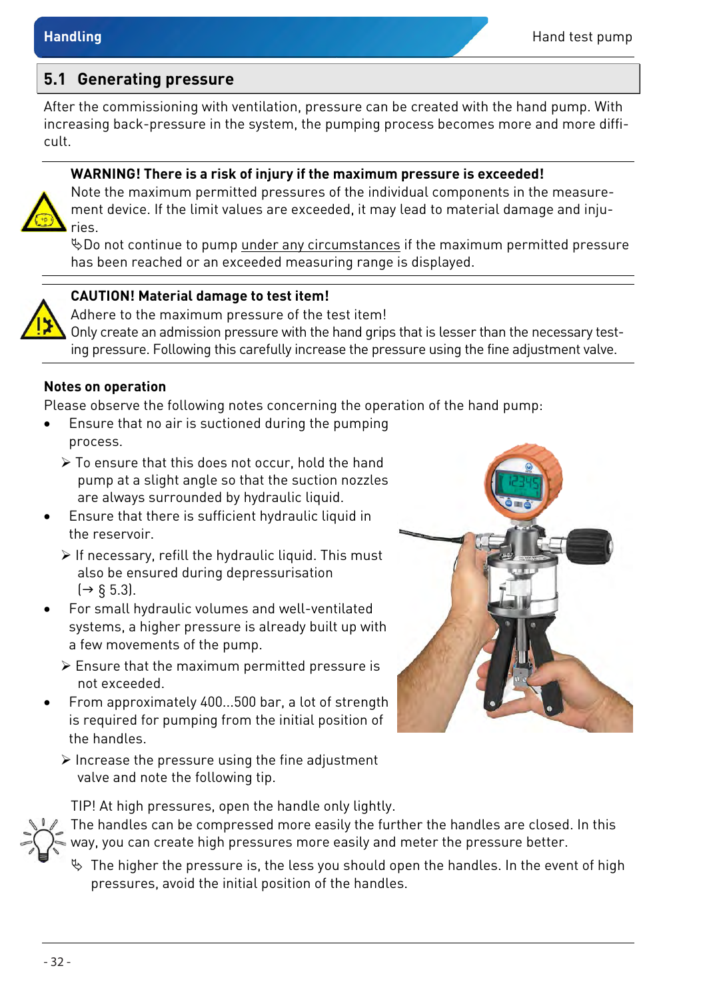#### <span id="page-11-0"></span>**5.1 Generating pressure**

After the commissioning with ventilation, pressure can be created with the hand pump. With increasing back-pressure in the system, the pumping process becomes more and more difficult.

#### **WARNING! There is a risk of injury if the maximum pressure is exceeded!**



Note the maximum permitted pressures of the individual components in the measurement device. If the limit values are exceeded, it may lead to material damage and injuries.

Do not continue to pump under any circumstances if the maximum permitted pressure has been reached or an exceeded measuring range is displayed.

#### **CAUTION! Material damage to test item!**

Adhere to the maximum pressure of the test item! Only create an admission pressure with the hand grips that is lesser than the necessary testing pressure. Following this carefully increase the pressure using the fine adjustment valve.

#### **Notes on operation**

Please observe the following notes concerning the operation of the hand pump:

- Ensure that no air is suctioned during the pumping process.
	- $\triangleright$  To ensure that this does not occur, hold the hand pump at a slight angle so that the suction nozzles are always surrounded by hydraulic liquid.
- Ensure that there is sufficient hydraulic liquid in the reservoir.
	- $\triangleright$  If necessary, refill the hydraulic liquid. This must also be ensured during depressurisation  $\rightarrow$  § [5.3\)](#page-13-1).
- For small hydraulic volumes and well-ventilated systems, a higher pressure is already built up with a few movements of the pump.
	- $\triangleright$  Ensure that the maximum permitted pressure is not exceeded.
- From approximately 400...500 bar, a lot of strength is required for pumping from the initial position of the handles.
	- $\triangleright$  Increase the pressure using the fine adjustment valve and note the following tip.



TIP! At high pressures, open the handle only lightly.

The handles can be compressed more easily the further the handles are closed. In this way, you can create high pressures more easily and meter the pressure better.

 $\%$  The higher the pressure is, the less you should open the handles. In the event of high pressures, avoid the initial position of the handles.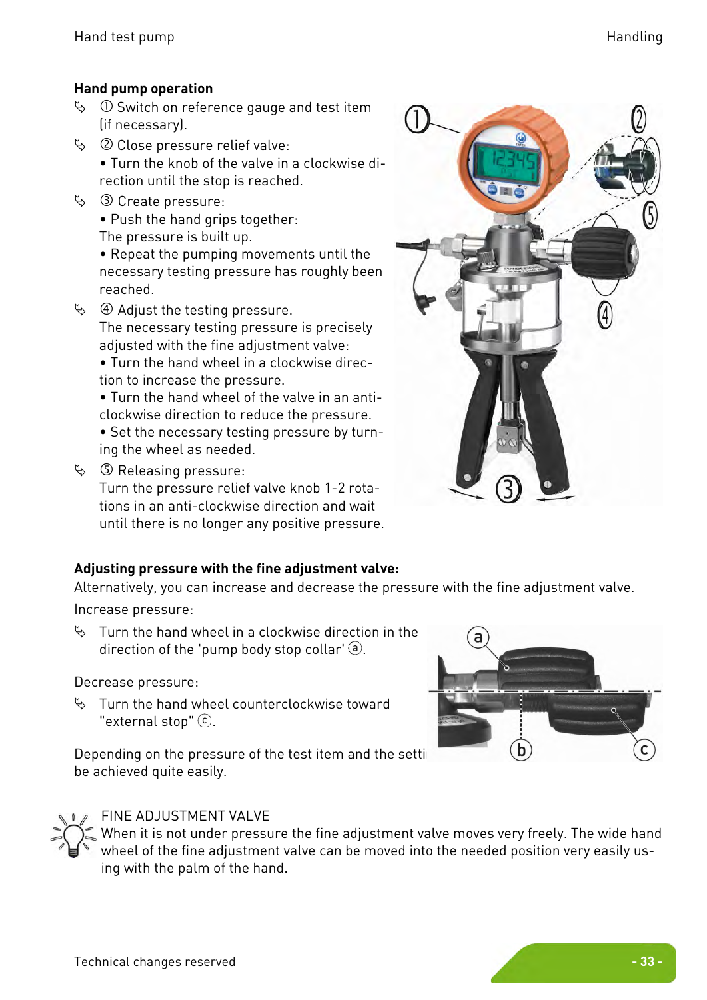#### **Hand pump operation**

- $\%$  ① Switch on reference gauge and test item (if necessary).
- $\%$  @ Close pressure relief valve:
	- Turn the knob of the valve in a clockwise direction until the stop is reached.
- $\%$  3 Create pressure:
	- Push the hand grips together:
	- The pressure is built up.

• Repeat the pumping movements until the necessary testing pressure has roughly been reached.

 $\%$  4 Adjust the testing pressure. The necessary testing pressure is precisely adjusted with the fine adjustment valve:

• Turn the hand wheel in a clockwise direction to increase the pressure.

• Turn the hand wheel of the valve in an anticlockwise direction to reduce the pressure.

• Set the necessary testing pressure by turning the wheel as needed.

 $\%$   $\circ$  Releasing pressure:

Turn the pressure relief valve knob 1-2 rotations in an anti-clockwise direction and wait until there is no longer any positive pressure.



Alternatively, you can increase and decrease the pressure with the fine adjustment valve.

Increase pressure:

 $\%$  Turn the hand wheel in a clockwise direction in the direction of the 'pump body stop collar'  $\Theta$ .

Decrease pressure:

 $\%$  Turn the hand wheel counterclockwise toward "external stop"  $\circlearrowleft$ .

Depending on the pressure of the test item and the setti be achieved quite easily.



#### FINE ADJUSTMENT VALVE

When it is not under pressure the fine adjustment valve moves very freely. The wide hand wheel of the fine adjustment valve can be moved into the needed position very easily using with the palm of the hand.

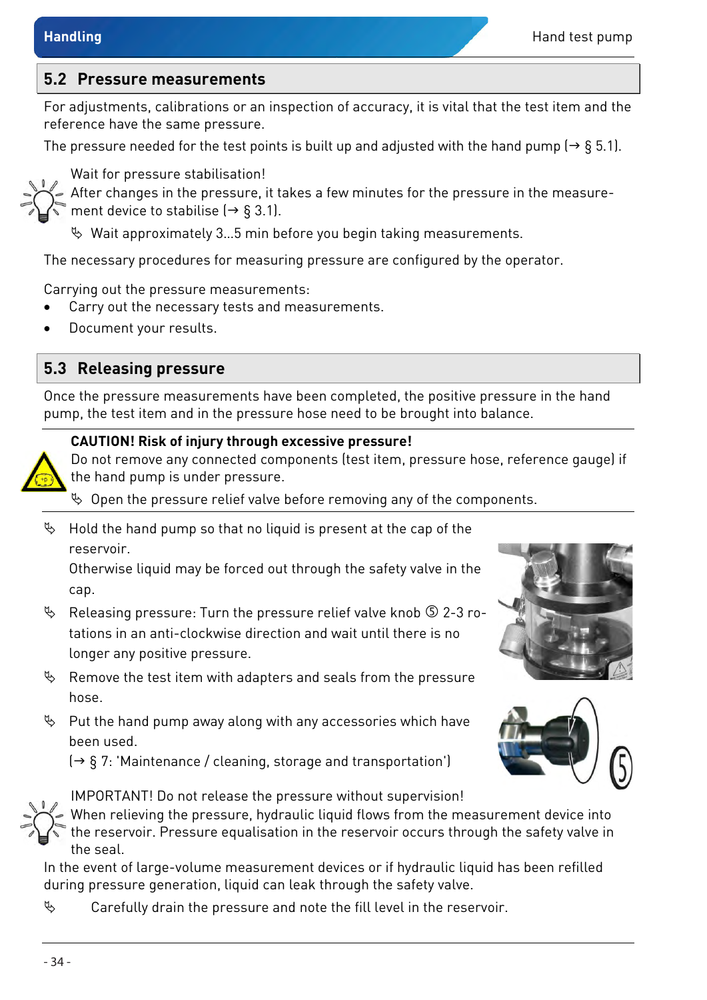#### <span id="page-13-0"></span>**5.2 Pressure measurements**

For adjustments, calibrations or an inspection of accuracy, it is vital that the test item and the reference have the same pressure.

The pressure needed for the test points is built up and adjusted with the hand pump ( $\rightarrow$  § [5.1\)](#page-11-0).



Wait for pressure stabilisation!

After changes in the pressure, it takes a few minutes for the pressure in the measure-

ment device to stabilise  $(\rightarrow \S 3.1)$  $(\rightarrow \S 3.1)$ .

 $\%$  Wait approximately 3...5 min before you begin taking measurements.

The necessary procedures for measuring pressure are configured by the operator.

Carrying out the pressure measurements:

- Carry out the necessary tests and measurements.
- Document your results.

### <span id="page-13-1"></span>**5.3 Releasing pressure**

Once the pressure measurements have been completed, the positive pressure in the hand pump, the test item and in the pressure hose need to be brought into balance.

#### **CAUTION! Risk of injury through excessive pressure!**



Do not remove any connected components (test item, pressure hose, reference gauge) if the hand pump is under pressure.

 $\%$  Open the pressure relief valve before removing any of the components.

 $\%$  Hold the hand pump so that no liquid is present at the cap of the reservoir.

Otherwise liquid may be forced out through the safety valve in the cap.

- $\%$  Releasing pressure: Turn the pressure relief valve knob  $\circ$  2-3 rotations in an anti-clockwise direction and wait until there is no longer any positive pressure.
- $\%$  Remove the test item with adapters and seals from the pressure hose.
- $\%$  Put the hand pump away along with any accessories which have been used.

 $\rightarrow$  § [7:](#page-15-0) 'Maintenance [/ cleaning, storage and transportation'](#page-15-0))



IMPORTANT! Do not release the pressure without supervision! When relieving the pressure, hydraulic liquid flows from the measurement device into the reservoir. Pressure equalisation in the reservoir occurs through the safety valve in the seal.

In the event of large-volume measurement devices or if hydraulic liquid has been refilled during pressure generation, liquid can leak through the safety valve.

 $\mathfrak{B}$  Carefully drain the pressure and note the fill level in the reservoir.



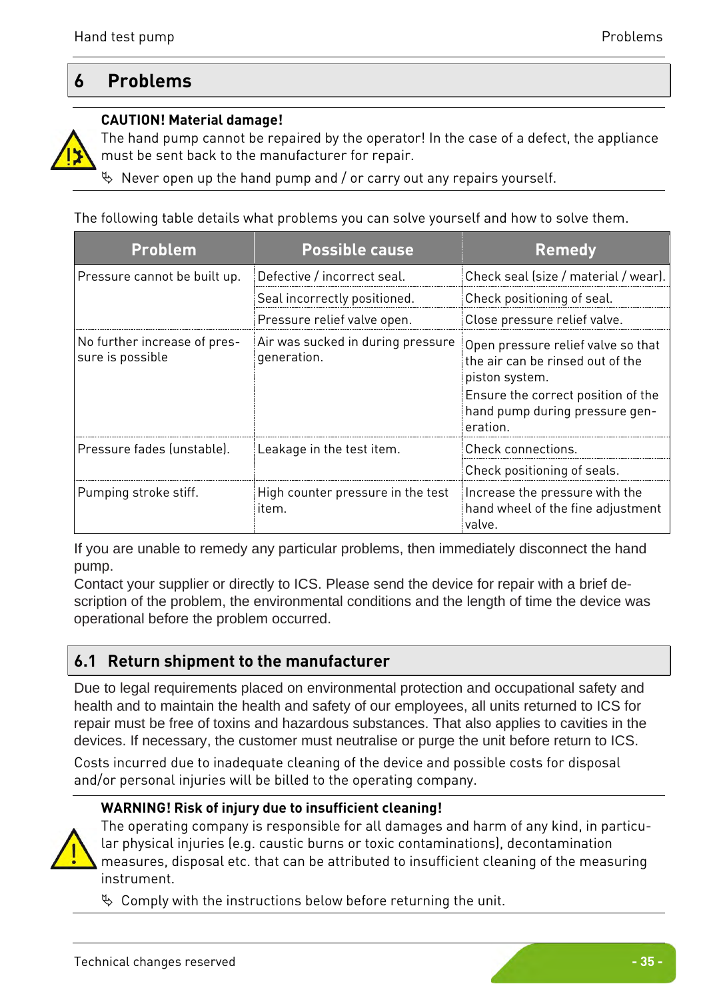### <span id="page-14-0"></span>**6 Problems**

#### **CAUTION! Material damage!**



The hand pump cannot be repaired by the operator! In the case of a defect, the appliance must be sent back to the manufacturer for repair.

 $\%$  Never open up the hand pump and / or carry out any repairs yourself.

The following table details what problems you can solve yourself and how to solve them.

| <b>Problem</b>                                   | <b>Possible cause</b>                            | <b>Remedy</b>                                                                                                                                                                |
|--------------------------------------------------|--------------------------------------------------|------------------------------------------------------------------------------------------------------------------------------------------------------------------------------|
| Pressure cannot be built up.                     | Defective / incorrect seal.                      | Check seal (size / material / wear).                                                                                                                                         |
|                                                  | Seal incorrectly positioned.                     | Check positioning of seal.                                                                                                                                                   |
|                                                  | Pressure relief valve open.                      | Close pressure relief valve.                                                                                                                                                 |
| No further increase of pres-<br>sure is possible | Air was sucked in during pressure<br>generation. | Open pressure relief valve so that<br>the air can be rinsed out of the<br>piston system.<br>Ensure the correct position of the<br>hand pump during pressure gen-<br>eration. |
| Pressure fades (unstable).                       | Leakage in the test item.                        | Check connections.                                                                                                                                                           |
|                                                  |                                                  | Check positioning of seals.                                                                                                                                                  |
| Pumping stroke stiff.                            | High counter pressure in the test<br>item.       | Increase the pressure with the<br>hand wheel of the fine adjustment<br>valve.                                                                                                |

If you are unable to remedy any particular problems, then immediately disconnect the hand pump.

Contact your supplier or directly to ICS. Please send the device for repair with a brief description of the problem, the environmental conditions and the length of time the device was operational before the problem occurred.

### <span id="page-14-1"></span>**6.1 Return shipment to the manufacturer**

Due to legal requirements placed on environmental protection and occupational safety and health and to maintain the health and safety of our employees, all units returned to ICS for repair must be free of toxins and hazardous substances. That also applies to cavities in the devices. If necessary, the customer must neutralise or purge the unit before return to ICS.

Costs incurred due to inadequate cleaning of the device and possible costs for disposal and/or personal injuries will be billed to the operating company.

#### **WARNING! Risk of injury due to insufficient cleaning!**



The operating company is responsible for all damages and harm of any kind, in particular physical injuries (e.g. caustic burns or toxic contaminations), decontamination measures, disposal etc. that can be attributed to insufficient cleaning of the measuring instrument.

 $\%$  Comply with the instructions below before returning the unit.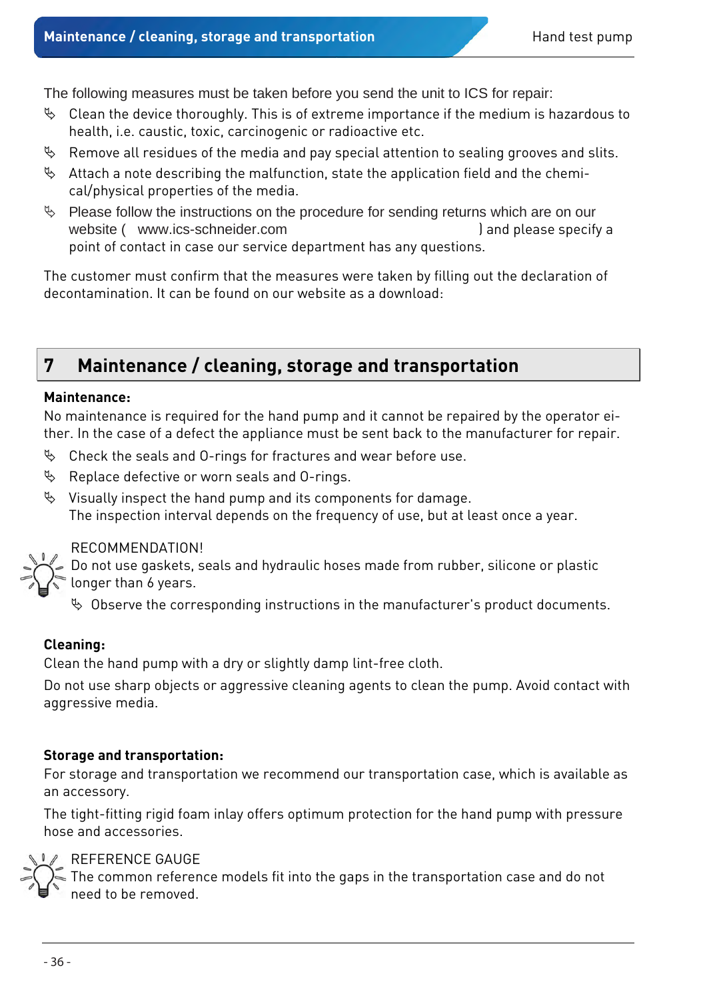The following measures must be taken before you send the unit to ICS for repair:

- $\%$  Clean the device thoroughly. This is of extreme importance if the medium is hazardous to health, i.e. caustic, toxic, carcinogenic or radioactive etc.
- $\mathfrak{B}$  Remove all residues of the media and pay special attention to sealing grooves and slits.
- $\%$  Attach a note describing the malfunction, state the application field and the chemical/physical properties of the media.
- $\%$  Please follow the instructions on the procedure for sending returns which are on our website [\( www.ics-schneider.com](http://www.sika.net/en/services/return-of-products-rma.html) ) and please specify a point of contact in case our service department has any questions.

The customer must confirm that the measures were taken by filling out the declaration of decontamination. It can be found on our website as a download:

### <span id="page-15-0"></span>**7 Maintenance / cleaning, storage and transportation**

#### **Maintenance:**

No maintenance is required for the hand pump and it cannot be repaired by the operator either. In the case of a defect the appliance must be sent back to the manufacturer for repair.

- $\%$  Check the seals and O-rings for fractures and wear before use.
- $\%$  Replace defective or worn seals and O-rings.
- $\%$  Visually inspect the hand pump and its components for damage. The inspection interval depends on the frequency of use, but at least once a year.

#### RECOMMENDATION!

Do not use gaskets, seals and hydraulic hoses made from rubber, silicone or plastic longer than 6 years.

 $\%$  Observe the corresponding instructions in the manufacturer's product documents.

#### **Cleaning:**

Clean the hand pump with a dry or slightly damp lint-free cloth.

Do not use sharp objects or aggressive cleaning agents to clean the pump. Avoid contact with aggressive media.

#### **Storage and transportation:**

For storage and transportation we recommend our transportation case, which is available as an accessory.

The tight-fitting rigid foam inlay offers optimum protection for the hand pump with pressure hose and accessories.



#### REFERENCE GAUGE

The common reference models fit into the gaps in the transportation case and do not need to be removed.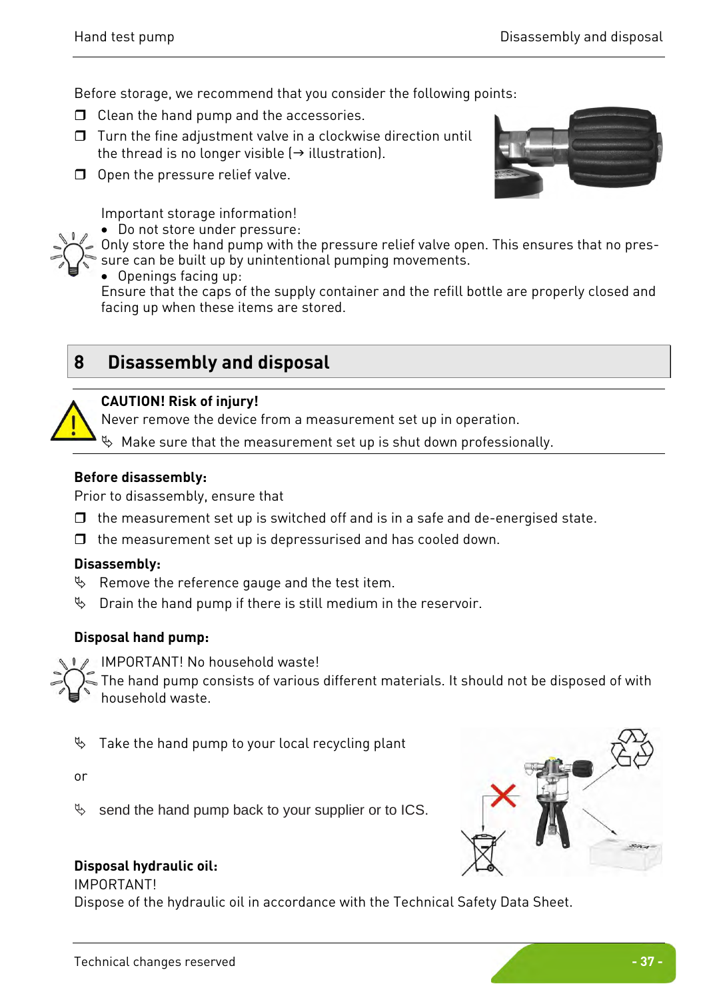Before storage, we recommend that you consider the following points:

- $\Box$  Clean the hand pump and the accessories.
- $\Box$  Turn the fine adjustment valve in a clockwise direction until the thread is no longer visible  $(\rightarrow$  illustration).
- $\Box$  Open the pressure relief valve.



Important storage information!

• Do not store under pressure:

Only store the hand pump with the pressure relief valve open. This ensures that no pres-

sure can be built up by unintentional pumping movements.

• Openings facing up:

Ensure that the caps of the supply container and the refill bottle are properly closed and facing up when these items are stored.

### <span id="page-16-0"></span>**8 Disassembly and disposal**



#### **CAUTION! Risk of injury!**

Never remove the device from a measurement set up in operation.

 $\%$  Make sure that the measurement set up is shut down professionally.

#### **Before disassembly:**

Prior to disassembly, ensure that

- $\Box$  the measurement set up is switched off and is in a safe and de-energised state.
- $\Box$  the measurement set up is depressurised and has cooled down.

#### **Disassembly:**

- $\%$  Remove the reference gauge and the test item.
- $\%$  Drain the hand pump if there is still medium in the reservoir.

#### **Disposal hand pump:**

IMPORTANT! No household waste!

The hand pump consists of various different materials. It should not be disposed of with household waste.

 $\%$  Take the hand pump to your local recycling plant

or

 $\%$  send the hand pump back to your supplier or to ICS.



#### IMPORTANT!

Dispose of the hydraulic oil in accordance with the Technical Safety Data Sheet.

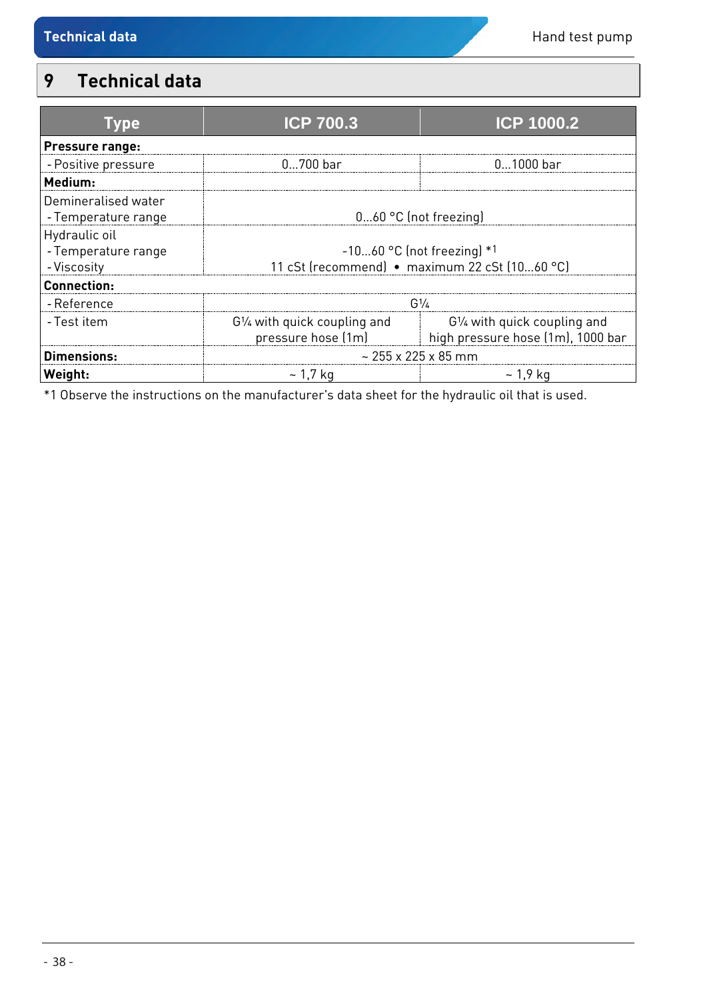## <span id="page-17-0"></span>**9 Technical data**

| Tvpe                                                | <b>ICP 700.3</b>                                                            | <b>ICP 1000.2</b>                                                 |  |  |
|-----------------------------------------------------|-----------------------------------------------------------------------------|-------------------------------------------------------------------|--|--|
| Pressure range:                                     |                                                                             |                                                                   |  |  |
| - Positive pressure                                 | $0700$ bar                                                                  | $01000$ bar                                                       |  |  |
| Medium:                                             |                                                                             |                                                                   |  |  |
| Demineralised water<br>- Temperature range          | $060$ °C (not freezing)                                                     |                                                                   |  |  |
| Hydraulic oil<br>- Temperature range<br>- Viscosity | -1060 °C (not freezing) *1<br>11 cSt (recommend) · maximum 22 cSt (1060 °C) |                                                                   |  |  |
| <b>Connection:</b>                                  |                                                                             |                                                                   |  |  |
| - Reference                                         | $G^{1/2}$                                                                   |                                                                   |  |  |
| - Test item                                         | G1/4 with quick coupling and<br>pressure hose (1m)                          | G1/4 with quick coupling and<br>high pressure hose (1m), 1000 bar |  |  |
| Dimensions:                                         | $\sim$ 255 x 225 x 85 mm                                                    |                                                                   |  |  |
| Weight:                                             | ~ 1.7 ka                                                                    | ~ 1.9 ka                                                          |  |  |

\*1 Observe the instructions on the manufacturer's data sheet for the hydraulic oil that is used.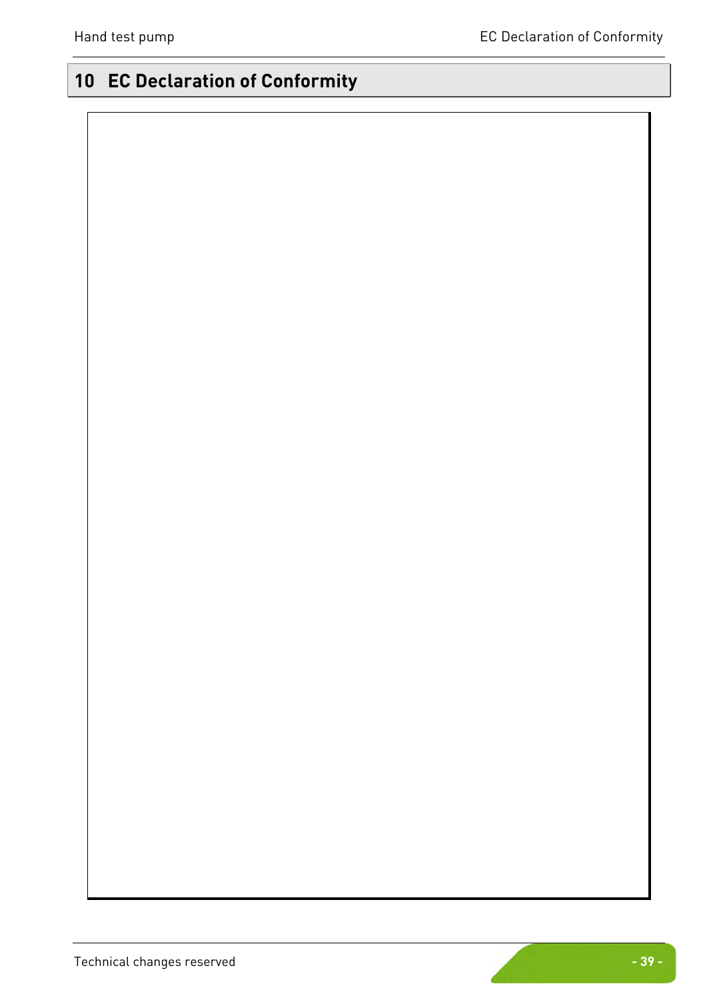# <span id="page-18-0"></span>**10 EC Declaration of Conformity**